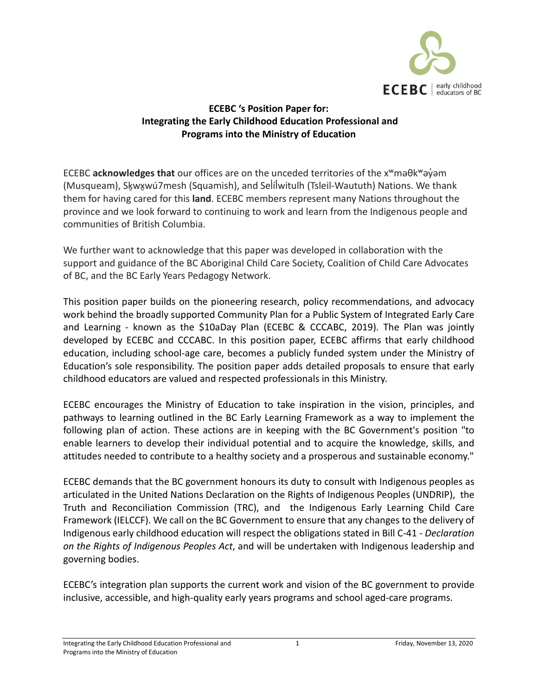

## **ECEBC 's Position Paper for: Integrating the Early Childhood Education Professional and Programs into the Ministry of Education**

ECEBC **acknowledges that** our offices are on the unceded territories of the xʷməθkʷəy̓əm (Musqueam), Skwxwú7mesh (Squamish), and Selílwitulh (Tsleil-Waututh) Nations. We thank them for having cared for this **land**. ECEBC members represent many Nations throughout the province and we look forward to continuing to work and learn from the Indigenous people and communities of British Columbia.

We further want to acknowledge that this paper was developed in collaboration with the support and guidance of the BC Aboriginal Child Care Society, Coalition of Child Care Advocates of BC, and the BC Early Years Pedagogy Network.

This position paper builds on the pioneering research, policy recommendations, and advocacy work behind the broadly supported Community Plan for a Public System of Integrated Early Care and Learning - known as the \$10aDay Plan (ECEBC & CCCABC, 2019). The Plan was jointly developed by ECEBC and CCCABC. In this position paper, ECEBC affirms that early childhood education, including school-age care, becomes a publicly funded system under the Ministry of Education's sole responsibility. The position paper adds detailed proposals to ensure that early childhood educators are valued and respected professionals in this Ministry.

ECEBC encourages the Ministry of Education to take inspiration in the vision, principles, and pathways to learning outlined in the BC Early Learning Framework as a way to implement the following plan of action. These actions are in keeping with the BC Government's position "to enable learners to develop their individual potential and to acquire the knowledge, skills, and attitudes needed to contribute to a healthy society and a prosperous and sustainable economy."

ECEBC demands that the BC government honours its duty to consult with Indigenous peoples as articulated in the United Nations Declaration on the Rights of Indigenous Peoples (UNDRIP), the Truth and Reconciliation Commission (TRC), and the Indigenous Early Learning Child Care Framework (IELCCF). We call on the BC Government to ensure that any changes to the delivery of Indigenous early childhood education will respect the obligations stated in Bill C-41 - *Declaration on the Rights of Indigenous Peoples Act*, and will be undertaken with Indigenous leadership and governing bodies.

ECEBC's integration plan supports the current work and vision of the BC government to provide inclusive, accessible, and high-quality early years programs and school aged-care programs.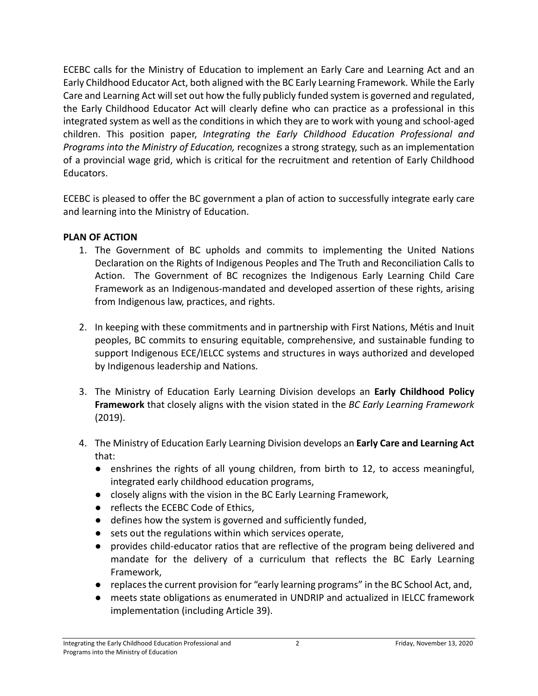ECEBC calls for the Ministry of Education to implement an Early Care and Learning Act and an Early Childhood Educator Act, both aligned with the BC Early Learning Framework. While the Early Care and Learning Act will set out how the fully publicly funded system is governed and regulated, the Early Childhood Educator Act will clearly define who can practice as a professional in this integrated system as well as the conditions in which they are to work with young and school-aged children. This position paper, *Integrating the Early Childhood Education Professional and Programs into the Ministry of Education,* recognizes a strong strategy, such as an implementation of a provincial wage grid, which is critical for the recruitment and retention of Early Childhood Educators.

ECEBC is pleased to offer the BC government a plan of action to successfully integrate early care and learning into the Ministry of Education.

## **PLAN OF ACTION**

- 1. The Government of BC upholds and commits to implementing the United Nations Declaration on the Rights of Indigenous Peoples and The Truth and Reconciliation Calls to Action. The Government of BC recognizes the Indigenous Early Learning Child Care Framework as an Indigenous-mandated and developed assertion of these rights, arising from Indigenous law, practices, and rights.
- 2. In keeping with these commitments and in partnership with First Nations, Métis and Inuit peoples, BC commits to ensuring equitable, comprehensive, and sustainable funding to support Indigenous ECE/IELCC systems and structures in ways authorized and developed by Indigenous leadership and Nations.
- 3. The Ministry of Education Early Learning Division develops an **Early Childhood Policy Framework** that closely aligns with the vision stated in the *BC Early Learning Framework*  (2019).
- 4. The Ministry of Education Early Learning Division develops an **Early Care and Learning Act** that:
	- enshrines the rights of all young children, from birth to 12, to access meaningful, integrated early childhood education programs,
	- closely aligns with the vision in the BC Early Learning Framework,
	- reflects the ECEBC Code of Ethics,
	- defines how the system is governed and sufficiently funded,
	- sets out the regulations within which services operate,
	- provides child-educator ratios that are reflective of the program being delivered and mandate for the delivery of a curriculum that reflects the BC Early Learning Framework,
	- replaces the current provision for "early learning programs" in the BC School Act, and,
	- meets state obligations as enumerated in UNDRIP and actualized in IELCC framework implementation (including Article 39).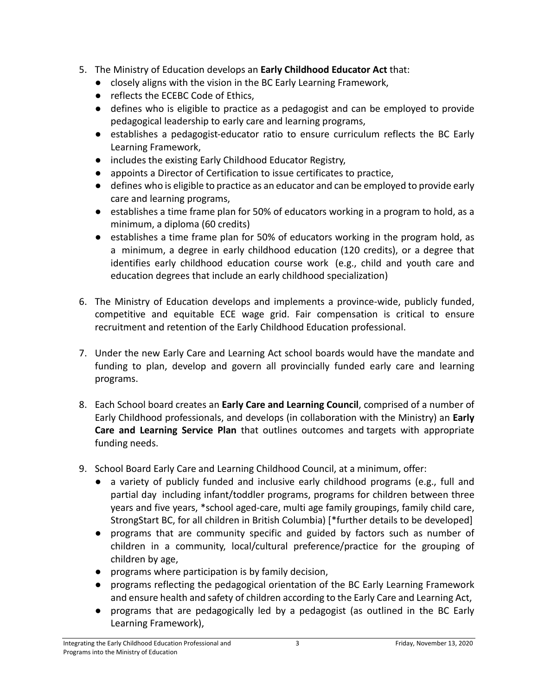- 5. The Ministry of Education develops an **Early Childhood Educator Act** that:
	- closely aligns with the vision in the BC Early Learning Framework,
	- reflects the ECEBC Code of Ethics,
	- defines who is eligible to practice as a pedagogist and can be employed to provide pedagogical leadership to early care and learning programs,
	- establishes a pedagogist-educator ratio to ensure curriculum reflects the BC Early Learning Framework,
	- includes the existing Early Childhood Educator Registry,
	- appoints a Director of Certification to issue certificates to practice,
	- defines who is eligible to practice as an educator and can be employed to provide early care and learning programs,
	- establishes a time frame plan for 50% of educators working in a program to hold, as a minimum, a diploma (60 credits)
	- establishes a time frame plan for 50% of educators working in the program hold, as a minimum, a degree in early childhood education (120 credits), or a degree that identifies early childhood education course work (e.g., child and youth care and education degrees that include an early childhood specialization)
- 6. The Ministry of Education develops and implements a province-wide, publicly funded, competitive and equitable ECE wage grid. Fair compensation is critical to ensure recruitment and retention of the Early Childhood Education professional.
- 7. Under the new Early Care and Learning Act school boards would have the mandate and funding to plan, develop and govern all provincially funded early care and learning programs.
- 8. Each School board creates an **Early Care and Learning Council**, comprised of a number of Early Childhood professionals, and develops (in collaboration with the Ministry) an **Early Care and Learning Service Plan** that outlines outcomes and targets with appropriate funding needs.
- 9. School Board Early Care and Learning Childhood Council, at a minimum, offer:
	- a variety of publicly funded and inclusive early childhood programs (e.g., full and partial day including infant/toddler programs, programs for children between three years and five years, \*school aged-care, multi age family groupings, family child care, StrongStart BC, for all children in British Columbia) [\*further details to be developed]
	- programs that are community specific and guided by factors such as number of children in a community, local/cultural preference/practice for the grouping of children by age,
	- programs where participation is by family decision,
	- programs reflecting the pedagogical orientation of the BC Early Learning Framework and ensure health and safety of children according to the Early Care and Learning Act,
	- programs that are pedagogically led by a pedagogist (as outlined in the BC Early Learning Framework),